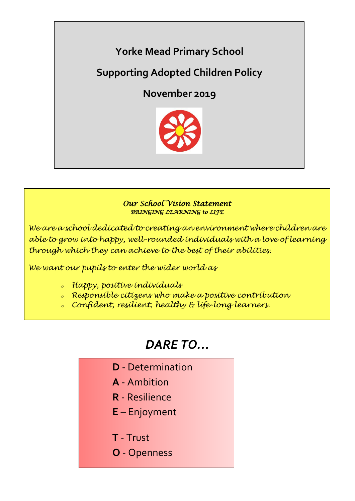

**Supporting Adopted Children Policy**

**November 2019**



# *Our School Vision Statement BRINGING LEARNING to LIFE*

*We are a school dedicated to creating an environment where children are able to grow into happy, well-rounded individuals with a love of learning through which they can achieve to the best of their abilities.*

*We want our pupils to enter the wider world as*

- *<sup>o</sup> Happy, positive individuals*
- *<sup>o</sup> Responsible citizens who make a positive contribution*
- *<sup>o</sup> Confident, resilient, healthy & life-long learners.*

# *DARE TO…*

- **D** Determination  **A** - Ambition
	- **R** Resilience
	- **E** Enjoyment
	- **T** Trust
	- **O** Openness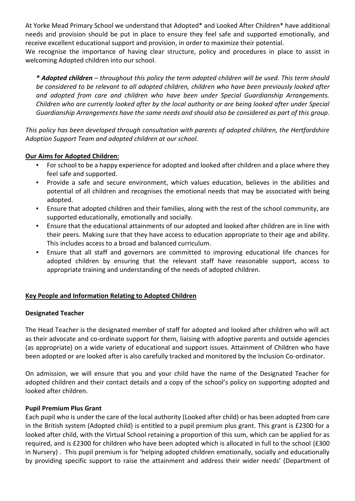At Yorke Mead Primary School we understand that Adopted\* and Looked After Children\* have additional needs and provision should be put in place to ensure they feel safe and supported emotionally, and receive excellent educational support and provision, in order to maximize their potential.

We recognise the importance of having clear structure, policy and procedures in place to assist in welcoming Adopted children into our school.

*\* Adopted children – throughout this policy the term adopted children will be used. This term should be considered to be relevant to all adopted children, children who have been previously looked after and adopted from care and children who have been under Special Guardianship Arrangements. Children who are currently looked after by the local authority or are being looked after under Special Guardianship Arrangements have the same needs and should also be considered as part of this group*.

*This policy has been developed through consultation with parents of adopted children, the Hertfordshire Adoption Support Team and adopted children at our school.* 

# **Our Aims for Adopted Children:**

- For school to be a happy experience for adopted and looked after children and a place where they feel safe and supported.
- Provide a safe and secure environment, which values education, believes in the abilities and potential of all children and recognises the emotional needs that may be associated with being adopted.
- Ensure that adopted children and their families, along with the rest of the school community, are supported educationally, emotionally and socially.
- Ensure that the educational attainments of our adopted and looked after children are in line with their peers. Making sure that they have access to education appropriate to their age and ability. This includes access to a broad and balanced curriculum.
- Ensure that all staff and governors are committed to improving educational life chances for adopted children by ensuring that the relevant staff have reasonable support, access to appropriate training and understanding of the needs of adopted children.

# **Key People and Information Relating to Adopted Children**

#### **Designated Teacher**

The Head Teacher is the designated member of staff for adopted and looked after children who will act as their advocate and co-ordinate support for them, liaising with adoptive parents and outside agencies (as appropriate) on a wide variety of educational and support issues. Attainment of Children who have been adopted or are looked after is also carefully tracked and monitored by the Inclusion Co-ordinator.

On admission, we will ensure that you and your child have the name of the Designated Teacher for adopted children and their contact details and a copy of the school's policy on supporting adopted and looked after children.

#### **Pupil Premium Plus Grant**

Each pupil who is under the care of the local authority (Looked after child) or has been adopted from care in the British system (Adopted child) is entitled to a pupil premium plus grant. This grant is £2300 for a looked after child, with the Virtual School retaining a proportion of this sum, which can be applied for as required, and is £2300 for children who have been adopted which is allocated in full to the school (£300 in Nursery) . This pupil premium is for 'helping adopted children emotionally, socially and educationally by providing specific support to raise the attainment and address their wider needs' (Department of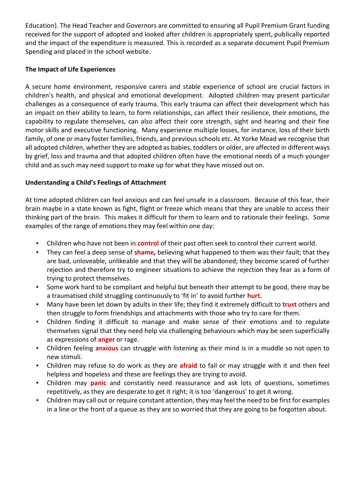Education). The Head Teacher and Governors are committed to ensuring all Pupil Premium Grant funding received for the support of adopted and looked after children is appropriately spent, publically reported and the impact of the expenditure is measured. This is recorded as a separate document Pupil Premium Spending and placed in the school website.

# **The Impact of Life Experiences**

A secure home environment, responsive carers and stable experience of school are crucial factors in children's health, and physical and emotional development. Adopted children may present particular challenges as a consequence of early trauma. This early trauma can affect their development which has an impact on their ability to learn, to form relationships, can affect their resilience, their emotions, the capability to regulate themselves, can also affect their core strength, sight and hearing and their fine motor skills and executive functioning. Many experience multiple losses, for instance, loss of their birth family, of one or many foster families, friends, and previous schools etc. At Yorke Mead we recognise that all adopted children, whether they are adopted as babies, toddlers or older, are affected in different ways by grief, loss and trauma and that adopted children often have the emotional needs of a much younger child and as such may need support to make up for what they have missed out on.

# **Understanding a Child's Feelings of Attachment**

At time adopted children can feel anxious and can feel unsafe in a classroom. Because of this fear, their brain maybe in a state known as fight, flight or freeze which means that they are unable to access their thinking part of the brain. This makes it difficult for them to learn and to rationale their feelings. Some examples of the range of emotions they may feel within one day:

- Children who have not been in **control** of their past often seek to control their current world.
- They can feel a deep sense of **shame,** believing what happened to them was their fault; that they are bad, unloveable, unlikeable and that they will be abandoned; they become scared of further rejection and therefore try to engineer situations to achieve the rejection they fear as a form of trying to protect themselves.
- Some work hard to be compliant and helpful but beneath their attempt to be good, there may be a traumatised child struggling continuously to 'fit in' to avoid further **hurt.**
- Many have been let down by adults in their life; they find it extremely difficult to **trust** others and then struggle to form friendships and attachments with those who try to care for them.
- Children finding it difficult to manage and make sense of their emotions and to regulate themselves signal that they need help via challenging behaviours which may be seen superficially as expressions of **anger** or rage.
- Children feeling **anxious** can struggle with listening as their mind is in a muddle so not open to new stimuli.
- Children may refuse to do work as they are **afraid** to fail or may struggle with it and then feel helpless and hopeless and these are feelings they are trying to avoid.
- Children may **panic** and constantly need reassurance and ask lots of questions, sometimes repetitively, as they are desperate to get it right; it is too 'dangerous' to get it wrong.
- Children may call out or require constant attention, they may feel the need to be first for examples in a line or the front of a queue as they are so worried that they are going to be forgotten about.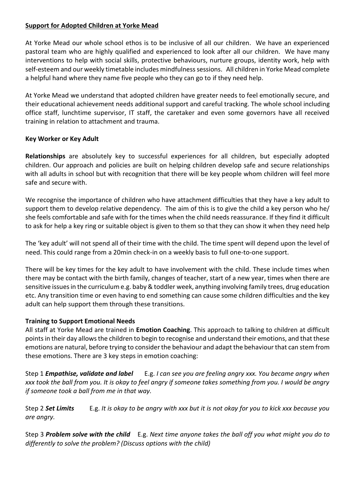#### **Support for Adopted Children at Yorke Mead**

At Yorke Mead our whole school ethos is to be inclusive of all our children. We have an experienced pastoral team who are highly qualified and experienced to look after all our children. We have many interventions to help with social skills, protective behaviours, nurture groups, identity work, help with self-esteem and our weekly timetable includes mindfulness sessions. All children in Yorke Mead complete a helpful hand where they name five people who they can go to if they need help.

At Yorke Mead we understand that adopted children have greater needs to feel emotionally secure, and their educational achievement needs additional support and careful tracking. The whole school including office staff, lunchtime supervisor, IT staff, the caretaker and even some governors have all received training in relation to attachment and trauma.

#### **Key Worker or Key Adult**

**Relationships** are absolutely key to successful experiences for all children, but especially adopted children. Our approach and policies are built on helping children develop safe and secure relationships with all adults in school but with recognition that there will be key people whom children will feel more safe and secure with.

We recognise the importance of children who have attachment difficulties that they have a key adult to support them to develop relative dependency. The aim of this is to give the child a key person who he/ she feels comfortable and safe with for the times when the child needs reassurance. If they find it difficult to ask for help a key ring or suitable object is given to them so that they can show it when they need help

The 'key adult' will not spend all of their time with the child. The time spent will depend upon the level of need. This could range from a 20min check-in on a weekly basis to full one-to-one support.

There will be key times for the key adult to have involvement with the child. These include times when there may be contact with the birth family, changes of teacher, start of a new year, times when there are sensitive issues in the curriculum e.g. baby & toddler week, anything involving family trees, drug education etc. Any transition time or even having to end something can cause some children difficulties and the key adult can help support them through these transitions.

# **Training to Support Emotional Needs**

All staff at Yorke Mead are trained in **Emotion Coaching**. This approach to talking to children at difficult points in their day allows the children to begin to recognise and understand their emotions, and that these emotions are natural, before trying to consider the behaviour and adapt the behaviour that can stem from these emotions. There are 3 key steps in emotion coaching:

Step 1 *Empathise, validate and label* E.g. *I can see you are feeling angry xxx. You became angry when xxx took the ball from you. It is okay to feel angry if someone takes something from you. I would be angry if someone took a ball from me in that way.* 

Step 2 *Set Limits* E.g. *It is okay to be angry with xxx but it is not okay for you to kick xxx because you are angry.* 

Step 3 *Problem solve with the child* E.g. *Next time anyone takes the ball off you what might you do to differently to solve the problem? (Discuss options with the child)*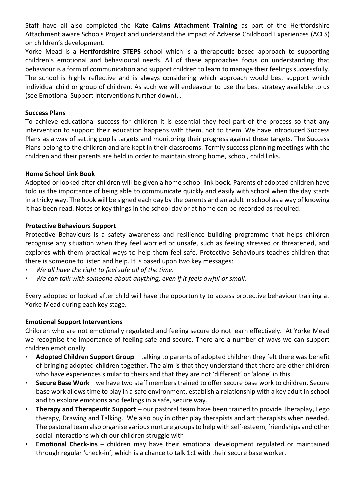Staff have all also completed the **Kate Cairns Attachment Training** as part of the Hertfordshire Attachment aware Schools Project and understand the impact of Adverse Childhood Experiences (ACES) on children's development.

Yorke Mead is a **Hertfordshire STEPS** school which is a therapeutic based approach to supporting children's emotional and behavioural needs. All of these approaches focus on understanding that behaviour is a form of communication and support children to learn to manage their feelings successfully. The school is highly reflective and is always considering which approach would best support which individual child or group of children. As such we will endeavour to use the best strategy available to us (see Emotional Support Interventions further down). .

#### **Success Plans**

To achieve educational success for children it is essential they feel part of the process so that any intervention to support their education happens with them, not to them. We have introduced Success Plans as a way of setting pupils targets and monitoring their progress against these targets. The Success Plans belong to the children and are kept in their classrooms. Termly success planning meetings with the children and their parents are held in order to maintain strong home, school, child links.

#### **Home School Link Book**

Adopted or looked after children will be given a home school link book. Parents of adopted children have told us the importance of being able to communicate quickly and easily with school when the day starts in a tricky way. The book will be signed each day by the parents and an adult in school as a way of knowing it has been read. Notes of key things in the school day or at home can be recorded as required.

#### **Protective Behaviours Support**

Protective Behaviours is a safety awareness and resilience building programme that helps children recognise any situation when they feel worried or unsafe, such as feeling stressed or threatened, and explores with them practical ways to help them feel safe. Protective Behaviours teaches children that there is someone to listen and help. It is based upon two key messages:

- We all have the right to feel safe all of the time.
- We can talk with someone about anything, even if it feels awful or small.

Every adopted or looked after child will have the opportunity to access protective behaviour training at Yorke Mead during each key stage.

# **Emotional Support Interventions**

Children who are not emotionally regulated and feeling secure do not learn effectively. At Yorke Mead we recognise the importance of feeling safe and secure. There are a number of ways we can support children emotionally

- Adopted Children Support Group talking to parents of adopted children they felt there was benefit of bringing adopted children together. The aim is that they understand that there are other children who have experiences similar to theirs and that they are not 'different' or 'alone' in this.
- **Secure Base Work we have two staff members trained to offer secure base work to children. Secure** base work allows time to play in a safe environment, establish a relationship with a key adult in school and to explore emotions and feelings in a safe, secure way.
- **Therapy and Therapeutic Support** our pastoral team have been trained to provide Theraplay, Lego therapy, Drawing and Talking. We also buy in other play therapists and art therapists when needed. The pastoral team also organise various nurture groups to help with self-esteem, friendships and other social interactions which our children struggle with
- **Emotional Check-ins**  children may have their emotional development regulated or maintained through regular 'check-in', which is a chance to talk 1:1 with their secure base worker.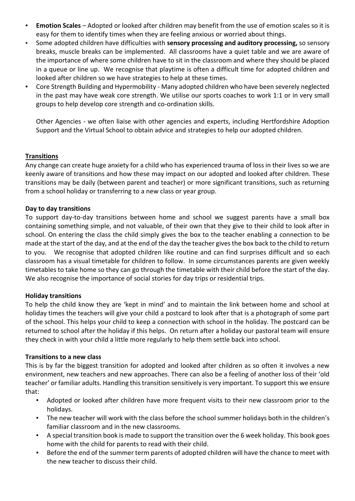- **Emotion Scales** Adopted or looked after children may benefit from the use of emotion scales so it is easy for them to identify times when they are feeling anxious or worried about things.
- Some adopted children have difficulties with **sensory processing and auditory processing,** so sensory breaks, muscle breaks can be implemented. All classrooms have a quiet table and we are aware of the importance of where some children have to sit in the classroom and where they should be placed in a queue or line up. We recognise that playtime is often a difficult time for adopted children and looked after children so we have strategies to help at these times.
- Core Strength Building and Hypermobility Many adopted children who have been severely neglected in the past may have weak core strength. We utilise our sports coaches to work 1:1 or in very small groups to help develop core strength and co-ordination skills.

Other Agencies - we often liaise with other agencies and experts, including Hertfordshire Adoption Support and the Virtual School to obtain advice and strategies to help our adopted children.

# **Transitions**

Any change can create huge anxiety for a child who has experienced trauma of loss in their lives so we are keenly aware of transitions and how these may impact on our adopted and looked after children. These transitions may be daily (between parent and teacher) or more significant transitions, such as returning from a school holiday or transferring to a new class or year group.

#### **Day to day transitions**

To support day-to-day transitions between home and school we suggest parents have a small box containing something simple, and not valuable, of their own that they give to their child to look after in school. On entering the class the child simply gives the box to the teacher enabling a connection to be made at the start of the day, and at the end of the day the teacher gives the box back to the child to return to you. We recognise that adopted children like routine and can find surprises difficult and so each classroom has a visual timetable for children to follow. In some circumstances parents are given weekly timetables to take home so they can go through the timetable with their child before the start of the day. We also recognise the importance of social stories for day trips or residential trips.

#### **Holiday transitions**

To help the child know they are 'kept in mind' and to maintain the link between home and school at holiday times the teachers will give your child a postcard to look after that is a photograph of some part of the school. This helps your child to keep a connection with school in the holiday. The postcard can be returned to school after the holiday if this helps. On return after a holiday our pastoral team will ensure they check in with your child a little more regularly to help them settle back into school.

#### **Transitions to a new class**

This is by far the biggest transition for adopted and looked after children as so often it involves a new environment, new teachers and new approaches. There can also be a feeling of another loss of their 'old teacher' or familiar adults. Handling this transition sensitively is very important. To support this we ensure that:

- Adopted or looked after children have more frequent visits to their new classroom prior to the holidays.
- The new teacher will work with the class before the school summer holidays both in the children's familiar classroom and in the new classrooms.
- A special transition book is made to support the transition over the 6 week holiday. This book goes home with the child for parents to read with their child.
- Before the end of the summer term parents of adopted children will have the chance to meet with the new teacher to discuss their child.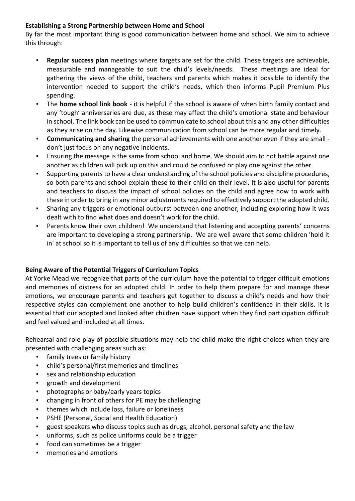# **Establishing a Strong Partnership between Home and School**

By far the most important thing is good communication between home and school. We aim to achieve this through:

- Regular success plan meetings where targets are set for the child. These targets are achievable, measurable and manageable to suit the child's levels/needs. These meetings are ideal for gathering the views of the child, teachers and parents which makes it possible to identify the intervention needed to support the child's needs, which then informs Pupil Premium Plus spending.
- The **home school link book** it is helpful if the school is aware of when birth family contact and any 'tough' anniversaries are due, as these may affect the child's emotional state and behaviour in school. The link book can be used to communicate to school about this and any other difficulties as they arise on the day. Likewise communication from school can be more regular and timely.
- **Communicating and sharing** the personal achievements with one another even if they are small don't just focus on any negative incidents.
- Ensuring the message is the same from school and home. We should aim to not battle against one another as children will pick up on this and could be confused or play one against the other.
- Supporting parents to have a clear understanding of the school policies and discipline procedures, so both parents and school explain these to their child on their level. It is also useful for parents and teachers to discuss the impact of school policies on the child and agree how to work with these in order to bring in any minor adjustments required to effectively support the adopted child.
- Sharing any triggers or emotional outburst between one another, including exploring how it was dealt with to find what does and doesn't work for the child.
- Parents know their own children! We understand that listening and accepting parents' concerns are important to developing a strong partnership. We are well aware that some children 'hold it in' at school so it is important to tell us of any difficulties so that we can help.

# **Being Aware of the Potential Triggers of Curriculum Topics**

At Yorke Mead we recognize that parts of the curriculum have the potential to trigger difficult emotions and memories of distress for an adopted child. In order to help them prepare for and manage these emotions, we encourage parents and teachers get together to discuss a child's needs and how their respective styles can complement one another to help build children's confidence in their skills. It is essential that our adopted and looked after children have support when they find participation difficult and feel valued and included at all times.

Rehearsal and role play of possible situations may help the child make the right choices when they are presented with challenging areas such as:

- family trees or family history
- child's personal/first memories and timelines
- sex and relationship education
- growth and development
- photographs or baby/early years topics
- changing in front of others for PE may be challenging
- themes which include loss, failure or loneliness
- PSHE (Personal, Social and Health Education)
- guest speakers who discuss topics such as drugs, alcohol, personal safety and the law
- uniforms, such as police uniforms could be a trigger
- food can sometimes be a trigger
- memories and emotions